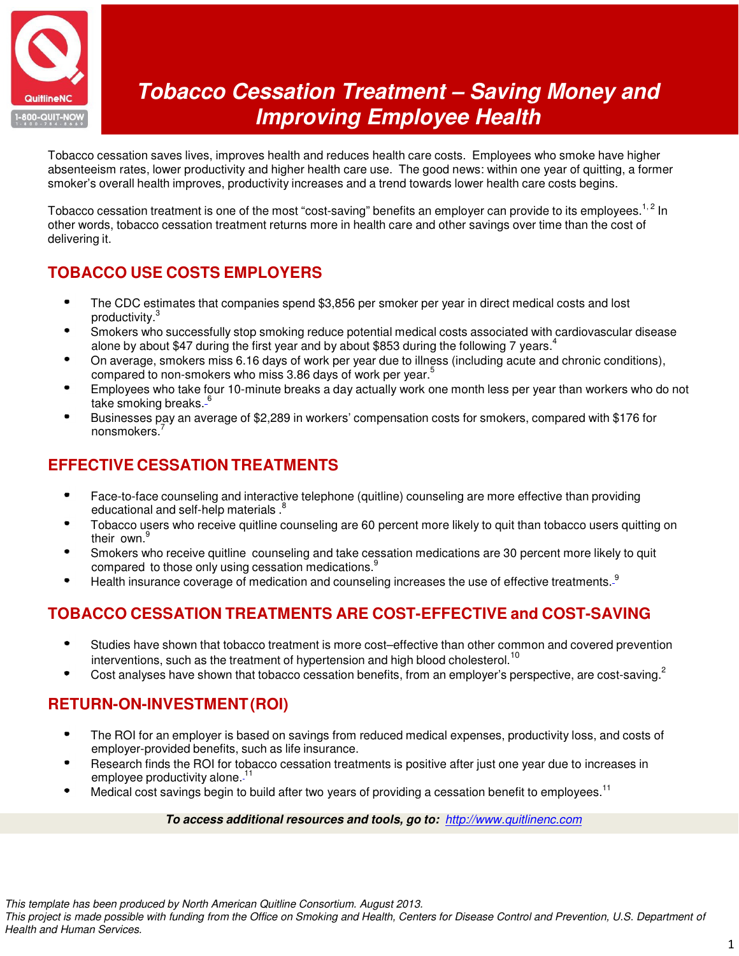

# **Tobacco Cessation Treatment – Saving Money and Improving Employee Health**

Tobacco cessation saves lives, improves health and reduces health care costs. Employees who smoke have higher absenteeism rates, lower productivity and higher health care use. The good news: within one year of quitting, a former smoker's overall health improves, productivity increases and a trend towards lower health care costs begins.

Tobacco cessation treatment is one of the most "cost-saving" benefits an employer can provide to its employees.<sup>1,2</sup> In other words, tobacco cessation treatment returns more in health care and other savings over time than the cost of delivering it.

# **TOBACCO USE COSTS EMPLOYERS**

- The CDC estimates that companies spend \$3,856 per smoker per year in direct medical costs and lost productivity.<sup>3</sup>
- Smokers who successfully stop smoking reduce potential medical costs associated with cardiovascular disease ٠ alone by about \$47 during the first year and by about \$853 during the following 7 years.<sup>4</sup>
- On average, smokers miss 6.16 days of work per year due to illness (including acute and chronic conditions), compared to non-smokers who miss 3.86 days of work per year.<sup>5</sup>
- Employees who take four 10-minute breaks a day actually work one month less per year than workers who do not take smoking breaks.<sup>6</sup>
- Businesses pay an average of \$2,289 in workers' compensation costs for smokers, compared with \$176 for nonsmokers<sup>7</sup>

### **EFFECTIVE CESSATION TREATMENTS**

- Face-to-face counseling and interactive telephone (quitline) counseling are more effective than providing educational and self-help materials.<sup>8</sup>
- Tobacco users who receive quitline counseling are 60 percent more likely to quit than tobacco users quitting on their own.<sup>9</sup>
- Smokers who receive quitline counseling and take cessation medications are 30 percent more likely to quit compared to those only using cessation medications.<sup>9</sup>
- Health insurance coverage of medication and counseling increases the use of effective treatments.<sup>9</sup>

## **TOBACCO CESSATION TREATMENTS ARE COST-EFFECTIVE and COST-SAVING**

- ó Studies have shown that tobacco treatment is more cost–effective than other common and covered prevention interventions, such as the treatment of hypertension and high blood cholesterol.<sup>10</sup>
- Cost analyses have shown that tobacco cessation benefits, from an employer's perspective, are cost-saving.<sup>2</sup>

#### **RETURN-ON-INVESTMENT (ROI)**

- The ROI for an employer is based on savings from reduced medical expenses, productivity loss, and costs of employer-provided benefits, such as life insurance.
- Research finds the ROI for tobacco cessation treatments is positive after just one year due to increases in employee productivity alone.<sup>11</sup>
- Medical cost savings begin to build after two years of providing a cessation benefit to employees.<sup>11</sup>

#### **To access additional resources and tools, go to:** http://www.quitlinenc.com